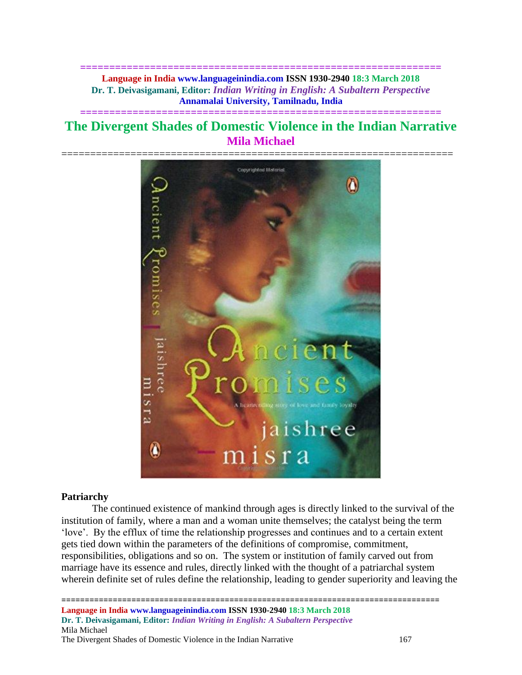**============================================================== Language in India www.languageinindia.com ISSN 1930-2940 18:3 March 2018 Dr. T. Deivasigamani, Editor:** *Indian Writing in English: A Subaltern Perspective* **Annamalai University, Tamilnadu, India**

# **The Divergent Shades of Domestic Violence in the Indian Narrative Mila Michael**

**==============================================================**



#### **Patriarchy**

The continued existence of mankind through ages is directly linked to the survival of the institution of family, where a man and a woman unite themselves; the catalyst being the term 'love'. By the efflux of time the relationship progresses and continues and to a certain extent gets tied down within the parameters of the definitions of compromise, commitment, responsibilities, obligations and so on. The system or institution of family carved out from marriage have its essence and rules, directly linked with the thought of a patriarchal system wherein definite set of rules define the relationship, leading to gender superiority and leaving the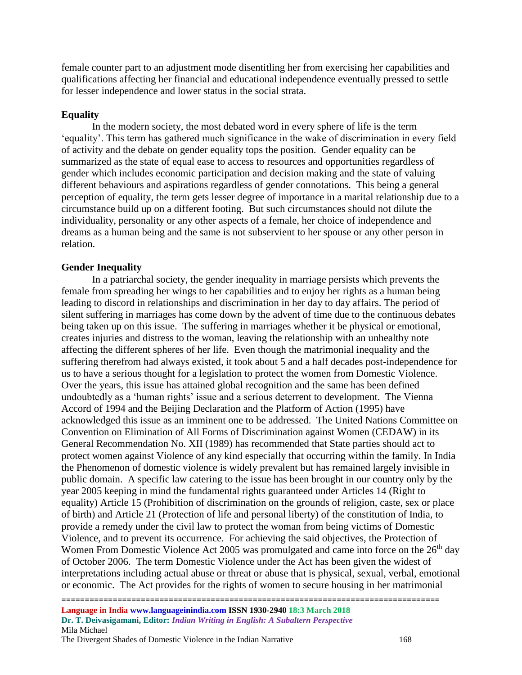female counter part to an adjustment mode disentitling her from exercising her capabilities and qualifications affecting her financial and educational independence eventually pressed to settle for lesser independence and lower status in the social strata.

## **Equality**

In the modern society, the most debated word in every sphere of life is the term 'equality'. This term has gathered much significance in the wake of discrimination in every field of activity and the debate on gender equality tops the position. Gender equality can be summarized as the state of equal ease to access to resources and opportunities regardless of gender which includes economic participation and decision making and the state of valuing different behaviours and aspirations regardless of gender connotations. This being a general perception of equality, the term gets lesser degree of importance in a marital relationship due to a circumstance build up on a different footing. But such circumstances should not dilute the individuality, personality or any other aspects of a female, her choice of independence and dreams as a human being and the same is not subservient to her spouse or any other person in relation.

## **Gender Inequality**

In a patriarchal society, the gender inequality in marriage persists which prevents the female from spreading her wings to her capabilities and to enjoy her rights as a human being leading to discord in relationships and discrimination in her day to day affairs. The period of silent suffering in marriages has come down by the advent of time due to the continuous debates being taken up on this issue. The suffering in marriages whether it be physical or emotional, creates injuries and distress to the woman, leaving the relationship with an unhealthy note affecting the different spheres of her life. Even though the matrimonial inequality and the suffering therefrom had always existed, it took about 5 and a half decades post-independence for us to have a serious thought for a legislation to protect the women from Domestic Violence. Over the years, this issue has attained global recognition and the same has been defined undoubtedly as a 'human rights' issue and a serious deterrent to development. The Vienna Accord of 1994 and the Beijing Declaration and the Platform of Action (1995) have acknowledged this issue as an imminent one to be addressed. The United Nations Committee on Convention on Elimination of All Forms of Discrimination against Women (CEDAW) in its General Recommendation No. XII (1989) has recommended that State parties should act to protect women against Violence of any kind especially that occurring within the family. In India the Phenomenon of domestic violence is widely prevalent but has remained largely invisible in public domain. A specific law catering to the issue has been brought in our country only by the year 2005 keeping in mind the fundamental rights guaranteed under Articles 14 (Right to equality) Article 15 (Prohibition of discrimination on the grounds of religion, caste, sex or place of birth) and Article 21 (Protection of life and personal liberty) of the constitution of India, to provide a remedy under the civil law to protect the woman from being victims of Domestic Violence, and to prevent its occurrence. For achieving the said objectives, the Protection of Women From Domestic Violence Act 2005 was promulgated and came into force on the 26<sup>th</sup> day of October 2006. The term Domestic Violence under the Act has been given the widest of interpretations including actual abuse or threat or abuse that is physical, sexual, verbal, emotional or economic. The Act provides for the rights of women to secure housing in her matrimonial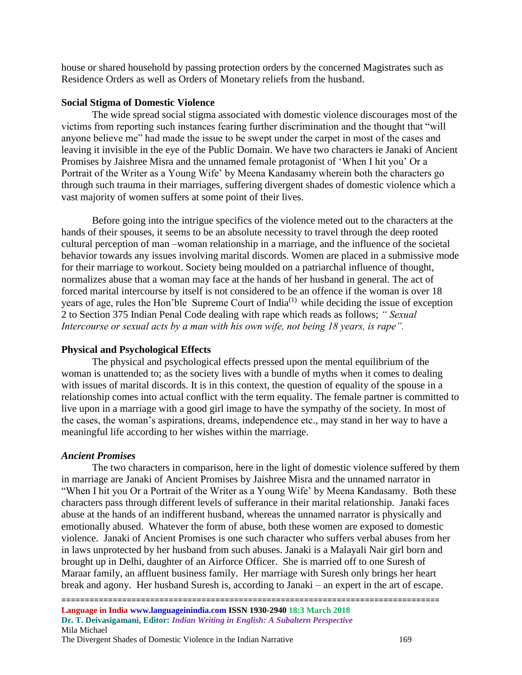house or shared household by passing protection orders by the concerned Magistrates such as Residence Orders as well as Orders of Monetary reliefs from the husband.

### **Social Stigma of Domestic Violence**

The wide spread social stigma associated with domestic violence discourages most of the victims from reporting such instances fearing further discrimination and the thought that "will anyone believe me" had made the issue to be swept under the carpet in most of the cases and leaving it invisible in the eye of the Public Domain. We have two characters ie Janaki of Ancient Promises by Jaishree Misra and the unnamed female protagonist of 'When I hit you' Or a Portrait of the Writer as a Young Wife' by Meena Kandasamy wherein both the characters go through such trauma in their marriages, suffering divergent shades of domestic violence which a vast majority of women suffers at some point of their lives.

Before going into the intrigue specifics of the violence meted out to the characters at the hands of their spouses, it seems to be an absolute necessity to travel through the deep rooted cultural perception of man –woman relationship in a marriage, and the influence of the societal behavior towards any issues involving marital discords. Women are placed in a submissive mode for their marriage to workout. Society being moulded on a patriarchal influence of thought, normalizes abuse that a woman may face at the hands of her husband in general. The act of forced marital intercourse by itself is not considered to be an offence if the woman is over 18 years of age, rules the Hon'ble Supreme Court of India<sup>(1)</sup> while deciding the issue of exception 2 to Section 375 Indian Penal Code dealing with rape which reads as follows; *" Sexual Intercourse or sexual acts by a man with his own wife, not being 18 years, is rape".*

#### **Physical and Psychological Effects**

The physical and psychological effects pressed upon the mental equilibrium of the woman is unattended to; as the society lives with a bundle of myths when it comes to dealing with issues of marital discords. It is in this context, the question of equality of the spouse in a relationship comes into actual conflict with the term equality. The female partner is committed to live upon in a marriage with a good girl image to have the sympathy of the society. In most of the cases, the woman's aspirations, dreams, independence etc., may stand in her way to have a meaningful life according to her wishes within the marriage.

#### *Ancient Promises*

The two characters in comparison, here in the light of domestic violence suffered by them in marriage are Janaki of Ancient Promises by Jaishree Misra and the unnamed narrator in "When I hit you Or a Portrait of the Writer as a Young Wife' by Meena Kandasamy. Both these characters pass through different levels of sufferance in their marital relationship. Janaki faces abuse at the hands of an indifferent husband, whereas the unnamed narrator is physically and emotionally abused. Whatever the form of abuse, both these women are exposed to domestic violence. Janaki of Ancient Promises is one such character who suffers verbal abuses from her in laws unprotected by her husband from such abuses. Janaki is a Malayali Nair girl born and brought up in Delhi, daughter of an Airforce Officer. She is married off to one Suresh of Maraar family, an affluent business family. Her marriage with Suresh only brings her heart break and agony. Her husband Suresh is, according to Janaki – an expert in the art of escape.

================================================================================= **Language in India www.languageinindia.com ISSN 1930-2940 18:3 March 2018 Dr. T. Deivasigamani, Editor:** *Indian Writing in English: A Subaltern Perspective* Mila Michael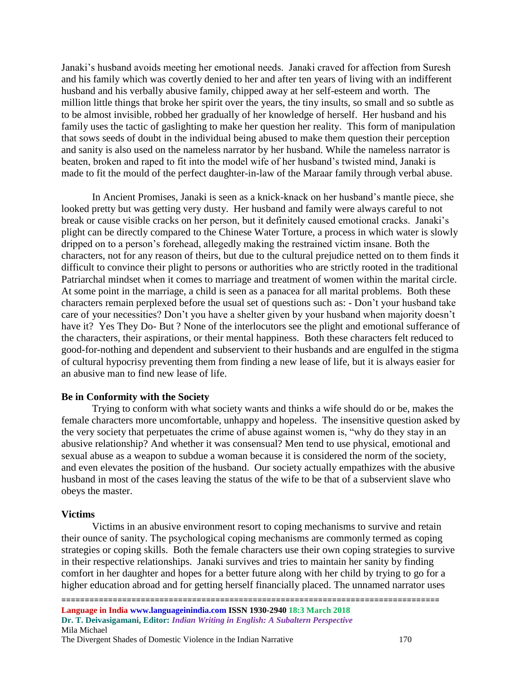Janaki's husband avoids meeting her emotional needs. Janaki craved for affection from Suresh and his family which was covertly denied to her and after ten years of living with an indifferent husband and his verbally abusive family, chipped away at her self-esteem and worth. The million little things that broke her spirit over the years, the tiny insults, so small and so subtle as to be almost invisible, robbed her gradually of her knowledge of herself. Her husband and his family uses the tactic of gaslighting to make her question her reality. This form of manipulation that sows seeds of doubt in the individual being abused to make them question their perception and sanity is also used on the nameless narrator by her husband. While the nameless narrator is beaten, broken and raped to fit into the model wife of her husband's twisted mind, Janaki is made to fit the mould of the perfect daughter-in-law of the Maraar family through verbal abuse.

In Ancient Promises, Janaki is seen as a knick-knack on her husband's mantle piece, she looked pretty but was getting very dusty. Her husband and family were always careful to not break or cause visible cracks on her person, but it definitely caused emotional cracks. Janaki's plight can be directly compared to the Chinese Water Torture, a process in which water is slowly dripped on to a person's forehead, allegedly making the restrained victim insane. Both the characters, not for any reason of theirs, but due to the cultural prejudice netted on to them finds it difficult to convince their plight to persons or authorities who are strictly rooted in the traditional Patriarchal mindset when it comes to marriage and treatment of women within the marital circle. At some point in the marriage, a child is seen as a panacea for all marital problems. Both these characters remain perplexed before the usual set of questions such as: - Don't your husband take care of your necessities? Don't you have a shelter given by your husband when majority doesn't have it? Yes They Do- But ? None of the interlocutors see the plight and emotional sufferance of the characters, their aspirations, or their mental happiness. Both these characters felt reduced to good-for-nothing and dependent and subservient to their husbands and are engulfed in the stigma of cultural hypocrisy preventing them from finding a new lease of life, but it is always easier for an abusive man to find new lease of life.

#### **Be in Conformity with the Society**

Trying to conform with what society wants and thinks a wife should do or be, makes the female characters more uncomfortable, unhappy and hopeless. The insensitive question asked by the very society that perpetuates the crime of abuse against women is, "why do they stay in an abusive relationship? And whether it was consensual? Men tend to use physical, emotional and sexual abuse as a weapon to subdue a woman because it is considered the norm of the society, and even elevates the position of the husband. Our society actually empathizes with the abusive husband in most of the cases leaving the status of the wife to be that of a subservient slave who obeys the master.

#### **Victims**

Victims in an abusive environment resort to coping mechanisms to survive and retain their ounce of sanity. The psychological coping mechanisms are commonly termed as coping strategies or coping skills. Both the female characters use their own coping strategies to survive in their respective relationships. Janaki survives and tries to maintain her sanity by finding comfort in her daughter and hopes for a better future along with her child by trying to go for a higher education abroad and for getting herself financially placed. The unnamed narrator uses